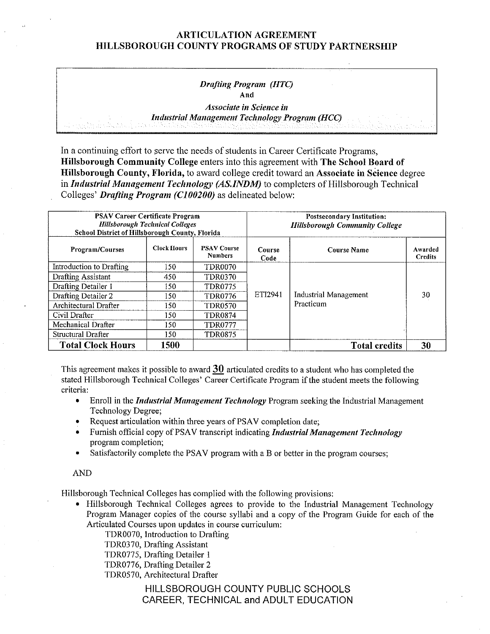# ARTICULATION AGREEMENT HILLSBOROUGH COUNTY PROGRAMS OF STUDY PARTNERSHIP

### *Drafting Program (HTC)*  **And**

*Associate in Science in Industrial Management Technology Program (HCC)* 

In a continuing effort to serve the needs of students in Career Certificate Programs, **Hillsborough Community College** enters into this agreement with **The School Board of Hillsborough County, Florida,** to award college credit toward an **Associate in Science** degree in *Industrial Management Technology (AS.INDM)* to completers of Hillsborough Technical Colleges' *Drafting Program (C/00200)* as delineated below:

| <b>PSAV Career Certificate Program</b><br><b>Hillsborough Technical Colleges</b><br>School District of Hillsborough County, Florida |                    |                                      | <b>Postsecondary Institution:</b><br><b>Hillsborough Community College</b> |                              |                           |  |
|-------------------------------------------------------------------------------------------------------------------------------------|--------------------|--------------------------------------|----------------------------------------------------------------------------|------------------------------|---------------------------|--|
| Program/Courses                                                                                                                     | <b>Clock Hours</b> | <b>PSAV Course</b><br><b>Numbers</b> | Course<br>Code                                                             | <b>Course Name</b>           | Awarded<br><b>Credits</b> |  |
| Introduction to Drafting                                                                                                            | 150                | <b>TDR0070</b>                       |                                                                            |                              |                           |  |
| <b>Drafting Assistant</b>                                                                                                           | 450                | TDR0370                              |                                                                            |                              |                           |  |
| Drafting Detailer 1                                                                                                                 | 150                | <b>TDR0775</b>                       |                                                                            |                              |                           |  |
| Drafting Detailer 2                                                                                                                 | 150.               | <b>TDR0776</b>                       | ET <sub>12941</sub>                                                        | <b>Industrial Management</b> | 30                        |  |
| Architectural Drafter                                                                                                               | 150.               | <b>TDR0570</b>                       |                                                                            | Practicum                    |                           |  |
| Civil Drafter                                                                                                                       | 150                | <b>TDR0874</b>                       |                                                                            |                              |                           |  |
| Mechanical Drafter                                                                                                                  | 150                | <b>TDR0777</b>                       |                                                                            |                              |                           |  |
| Structural Drafter                                                                                                                  | 150.               | <b>TDR0875</b>                       |                                                                            |                              |                           |  |
| <b>Total Clock Hours</b>                                                                                                            | 1500               |                                      |                                                                            | <b>Total credits</b>         | 30                        |  |

This agreement makes it possible to award **30** articulated credits to a student who has completed the stated Hillsborough Technical Colleges' Career Certificate Program if the student meets the following criteria:

- Enroll in the *Industrial Management Technology* Program seeking the Industrial Management Technology Degree;
- Request articulation within three years of PSAV completion date;
- Furnish official copy of PSAV transcript indicating *Industrial Management Technology*  program completion;
- Satisfactorily complete the PSAV program with a B or better in the program courses;

#### AND

Hillsborough Technical Colleges has complied with the following provisions:

• Hillsborough Technical Colleges agrees to provide to the Industrial Management Technology Program Manager copies of the course syllabi and a copy of the Program Guide for each of the Articulated Courses upon updates in course curriculum:

TDR0070, Introduction to Drafting

TDR03 70, Drafting Assistant

TDR0775, Drafting Detailer 1

TDR0776, Drafting Detailer 2

TDR0570, Architectural Drafter

# HILLSBOROUGH COUNTY PUBLIC SCHOOLS CAREER, TECHNICAL and ADULT EDUCATION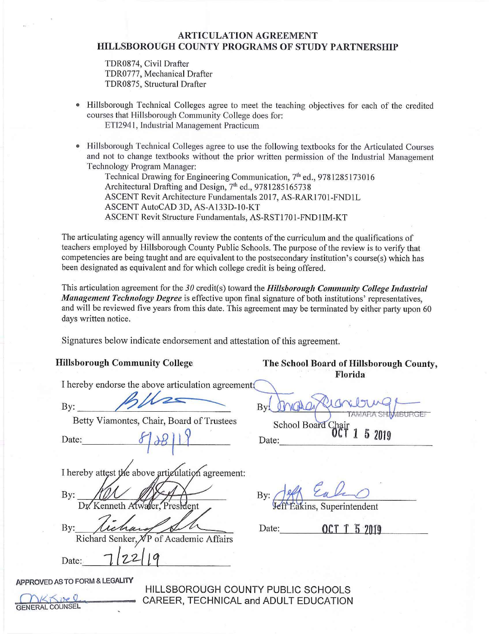# **ARTICULATION AGREEMENT HILLSBOROUGH COUNTY PROGRAMS OF STUDY PARTNERSHIP**

TDR0874, Civil Drafter TDR0777, Mechanical Drafter TDR0875, Structural Drafter

- Hillsborough Technical Colleges agree to meet the teaching objectives for each of the credited courses that Hillsborough Community College does for: ETI294 l, Industrial Management Practicum
- Hillsborough Technical Colleges agree to use the following textbooks for the Atticulated Courses and not to change textbooks without the prior written permission of the Industrial Management Technology Program Manager:

Technical Drawing for Engineering Communication, 7<sup>th</sup> ed., 9781285173016 Architectural Drafting and Design, 7<sup>th</sup> ed., 9781285165738 ASCENT Revit Architecture Fundamentals 2017, AS-RAR1701-FND1L ASCENT AutoCAD 3D, AS-Al33D-10-KT ASCENT Revit Structure Fundamentals, AS-RST1701-FND1IM-KT

The articulating agency will annually review the contents of the curriculum and the qualifications of teachers employed by Hillsborough County Public Schools. The purpose of the review is to verify that competencies are being taught and are equivalent to the postsecondary institution's course(s) which has been designated as equivalent and for which college credit is being offered.

This atticulation agreement for the 30 credit(s) toward the *Hillsborough Community College Industrial Management Technology Degree* is effective upon final signature of both institutions' representatives, and will be reviewed five years from this date. This agreement may be terminated by either party upon 60 days written notice.

Signatures below indicate endorsement and attestation of this agreement.

I hereby endorse the above articulation agreement

Fillsborough Community College<br>
I hereby endorse the above articulation ag<br>
By: **All All Deserves Addition**<br>
Betty Viamontes, Chair, Board of Trus

Betty Viamontes, Chair, Board of Trustees

I hereby attest the above articulation agreement:

By: Dr. Kenneth Afw President

By: *Lichard SM* Richard Senker, By: Tichang Colombia Richard Senker, VP of Academic Affair.<br>Date: 12219

APPROVED AS TO FORM & LEGALITY

HILLSBOROUGH COUNTY PUBLIC SCHOOLS Cht<6u, *0* • CAREER, TECHNICAL and ADULT EDUCATION

**Hillsborough Community College The School Board of Hillsborough County, Florida** 

By: **Date** *tf J-8* II? Date:---------------

 $By:$   $\frac{199}{966}$   $\frac{e}{2}a$ .

fakins, Superintendent

Date: **QCT** 1 5 2019

GENERAL COUNSEL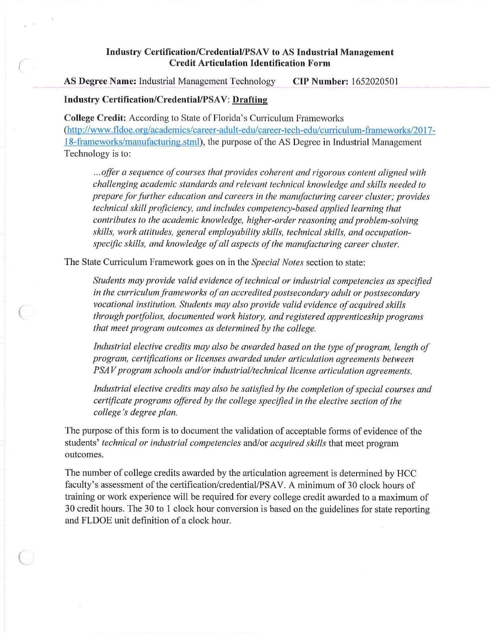# **lndusfry Certification/Credential/PSA V to AS Industrial Management Credit Articulation Identification Form**

**AS Degree Name:** Industrial Management Technology **CIP Number:** 1652020501

# **Industry Certification/Credential/PSAV: Drafting**

*(* 

 $\big($ 

 $\big($ 

**College Credit:** According to State of Florida's Curriculum Frameworks (<http://www.fldoe.org/academics/career-adult-ed>u/career-tech-edu/curriculum-frameworks/2017-18-frameworks/manufacturing.stml), the purpose of the AS Degree in Industrial Management Technology is to:

... offer a sequence of courses that provides coherent and rigorous content aligned with *challenging academic standards and relevant technical knowledge and skills needed to prepare for further education and careers in the manufacturing career cluster; provides technical skill proficiency, and includes competency-based applied learning that contributes to the academic knowledge, higher-order reasoning and problem-solving skills, work attitudes, general employability skills, technical skills, and occupation*specific skills, and knowledge of all aspects of the manufacturing career cluster.

The State Curriculum Framework goes on in the *Special Notes* section to state:

*Students may provide valid evidence oftechnical or industrial competencies as specified in the curriculum frameworks of an accredited postsecondary adult or postsecondary* vocational institution. Students may also provide valid evidence of acquired skills *through portfolios, documented work history, and registered apprenticeship programs that meet program outcomes as determined by the college.* 

Industrial elective credits may also be awarded based on the type of program, length of *program, certifications or licenses awarded under articulation agreements between PSAV* program schools and/or industrial/technical license articulation agreements.

Industrial elective credits may also be satisfied by the completion of special courses and *certificate programs offered by the college specified in the elective section ofthe college 's degree plan.* 

The purpose of this form is to document the validation of acceptable forms of evidence of the students' *technical or industrial competencies* and/or *acquired skills* that meet program outcomes.

The number of college credits awarded by the articulation agreement is determined by HCC faculty's assessment of the certification/credential/PSAV. A minimum of 30 clock hours of training or work experience will be required for every college credit awarded to a maximum of 30 credit hours. The 30 to 1 clock hour conversion is based on the guidelines for state reporting and FLDOE unit definition of a clock hour.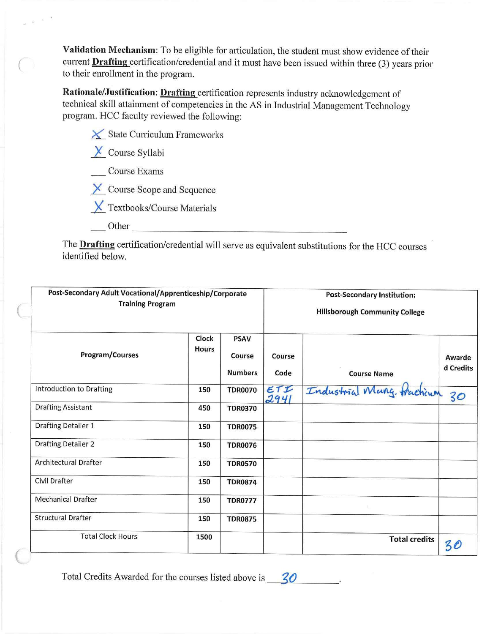Validation Mechanism: To be eligible for articulation, the student must show evidence of their current **Drafting** certification/credential and it must have been issued within three (3) years prior to their enrollment in the program.

**Rationale/Justification: Drafting** certification represents industry acknowledgement of technical skill attainment of competencies in the AS in Industrial Management Technology program. HCC faculty reviewed the following:

| $\times$ State Curriculum Frameworks |
|--------------------------------------|
| $\mathbf{V}$ and $\mathbf{V}$        |

*L* Course Syllabi

 $\sim$  $\vec{p}$ 

Course Exams

X Course Scope and Sequence

*.){\_* Textbooks/Course Materials

Other

- - -------- --- - - - - ----- The **Drafting** certification/credential will serve as equivalent substitutions for the HCC courses identified below.

| Post-Secondary Adult Vocational/Apprenticeship/Corporate<br><b>Training Program</b> |                       |                                         |                | <b>Post-Secondary Institution:</b><br><b>Hillsborough Community College</b> |                     |  |
|-------------------------------------------------------------------------------------|-----------------------|-----------------------------------------|----------------|-----------------------------------------------------------------------------|---------------------|--|
| Program/Courses                                                                     | Clock<br><b>Hours</b> | <b>PSAV</b><br>Course<br><b>Numbers</b> | Course<br>Code | <b>Course Name</b>                                                          | Awarde<br>d Credits |  |
| Introduction to Drafting                                                            | 150                   | <b>TDR0070</b>                          | ETI<br>2941    | Industrial Many tracticum                                                   | 30                  |  |
| <b>Drafting Assistant</b>                                                           | 450                   | <b>TDR0370</b>                          |                |                                                                             |                     |  |
| Drafting Detailer 1                                                                 | 150                   | <b>TDR0075</b>                          |                |                                                                             |                     |  |
| <b>Drafting Detailer 2</b>                                                          | 150                   | <b>TDR0076</b>                          |                |                                                                             |                     |  |
| <b>Architectural Drafter</b>                                                        | 150                   | <b>TDR0570</b>                          |                |                                                                             |                     |  |
| Civil Drafter                                                                       | 150                   | <b>TDR0874</b>                          |                |                                                                             |                     |  |
| <b>Mechanical Drafter</b>                                                           | 150                   | <b>TDR0777</b>                          |                |                                                                             |                     |  |
| <b>Structural Drafter</b>                                                           | 150                   | <b>TDR0875</b>                          |                |                                                                             |                     |  |
| <b>Total Clock Hours</b>                                                            | 1500                  |                                         |                | <b>Total credits</b>                                                        | 30                  |  |

Total Credits Awarded for the courses listed above is  $\frac{30}{20}$